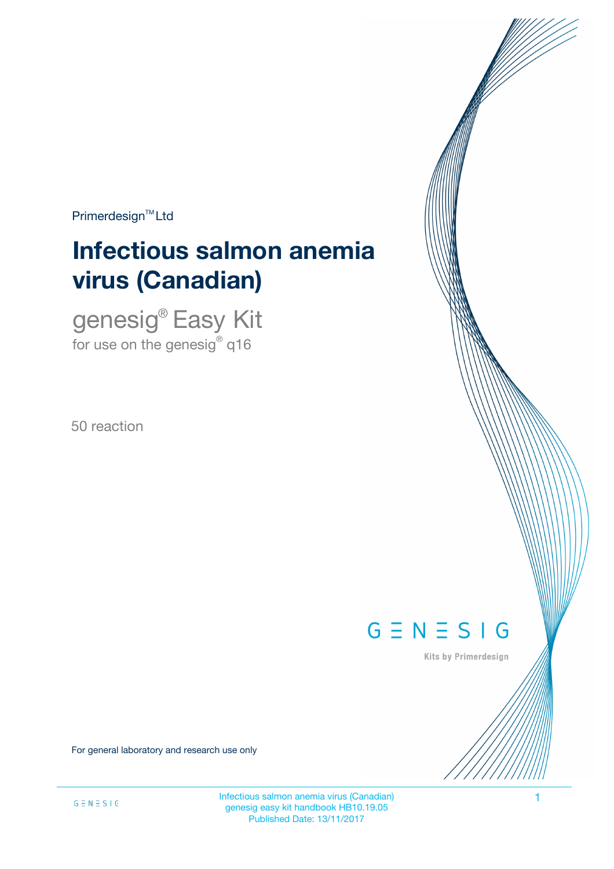$Primerdesign<sup>™</sup>Ltd$ 

# **Infectious salmon anemia virus (Canadian)**

genesig® Easy Kit for use on the genesig $^\circ$  q16

50 reaction



Kits by Primerdesign

For general laboratory and research use only

Infectious salmon anemia virus (Canadian) 1 genesig easy kit handbook HB10.19.05 Published Date: 13/11/2017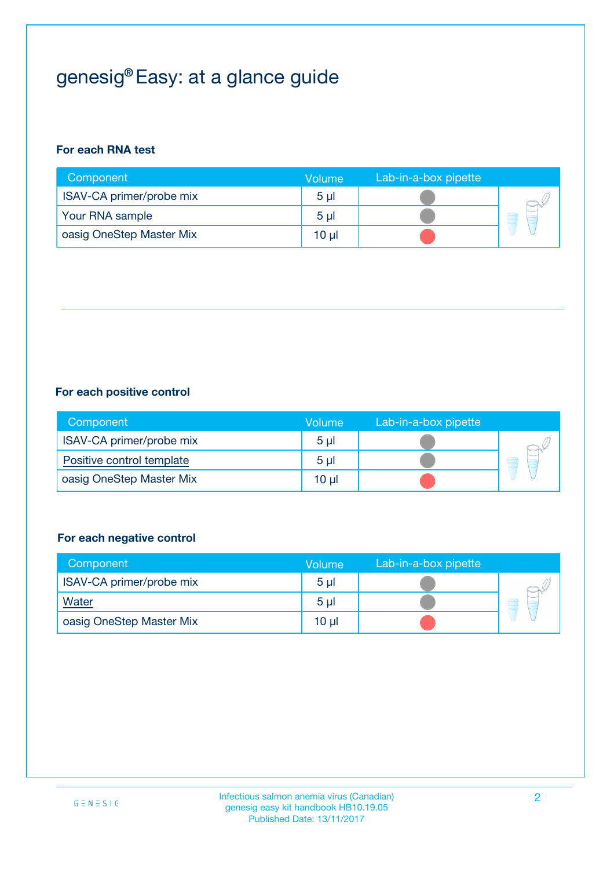## genesig® Easy: at a glance guide

## **For each RNA test**

| Component                | <b>Volume</b>  | Lab-in-a-box pipette |  |
|--------------------------|----------------|----------------------|--|
| ISAV-CA primer/probe mix | 5 <sub>µ</sub> |                      |  |
| Your RNA sample          | 5 <sub>µ</sub> |                      |  |
| oasig OneStep Master Mix | 10 µl          |                      |  |

### **For each positive control**

| Component                 | Volume         | Lab-in-a-box pipette |  |
|---------------------------|----------------|----------------------|--|
| ISAV-CA primer/probe mix  | 5 <sub>µ</sub> |                      |  |
| Positive control template | 5 <sub>µ</sub> |                      |  |
| oasig OneStep Master Mix  | 10 µl          |                      |  |

### **For each negative control**

| Component                | <b>Volume</b>  | Lab-in-a-box pipette |   |
|--------------------------|----------------|----------------------|---|
| ISAV-CA primer/probe mix | 5 <sub>µ</sub> |                      |   |
| <b>Water</b>             | 5 <sub>µ</sub> |                      | a |
| oasig OneStep Master Mix | $10 \mu$       |                      |   |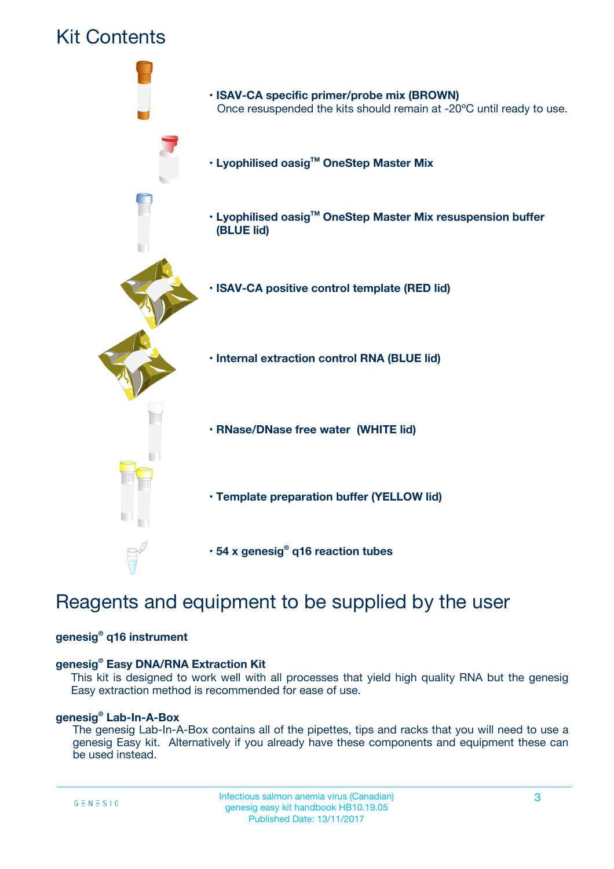

## Reagents and equipment to be supplied by the user

### **genesig® q16 instrument**

### **genesig® Easy DNA/RNA Extraction Kit**

This kit is designed to work well with all processes that yield high quality RNA but the genesig Easy extraction method is recommended for ease of use.

### **genesig® Lab-In-A-Box**

The genesig Lab-In-A-Box contains all of the pipettes, tips and racks that you will need to use a genesig Easy kit. Alternatively if you already have these components and equipment these can be used instead.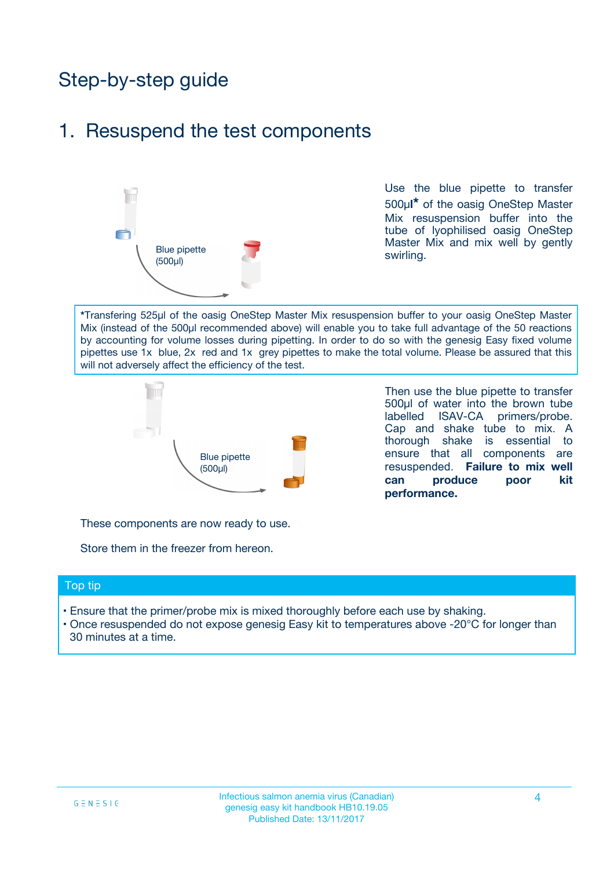## Step-by-step guide

## 1. Resuspend the test components



Use the blue pipette to transfer 500µ**l\*** of the oasig OneStep Master Mix resuspension buffer into the tube of lyophilised oasig OneStep Master Mix and mix well by gently swirling.

**\***Transfering 525µl of the oasig OneStep Master Mix resuspension buffer to your oasig OneStep Master Mix (instead of the 500µl recommended above) will enable you to take full advantage of the 50 reactions by accounting for volume losses during pipetting. In order to do so with the genesig Easy fixed volume pipettes use 1x blue, 2x red and 1x grey pipettes to make the total volume. Please be assured that this will not adversely affect the efficiency of the test.



Then use the blue pipette to transfer 500µl of water into the brown tube labelled ISAV-CA primers/probe. Cap and shake tube to mix. A thorough shake is essential to ensure that all components are resuspended. **Failure to mix well can produce poor kit performance.**

These components are now ready to use.

Store them in the freezer from hereon.

#### Top tip

- Ensure that the primer/probe mix is mixed thoroughly before each use by shaking.
- Once resuspended do not expose genesig Easy kit to temperatures above -20°C for longer than 30 minutes at a time.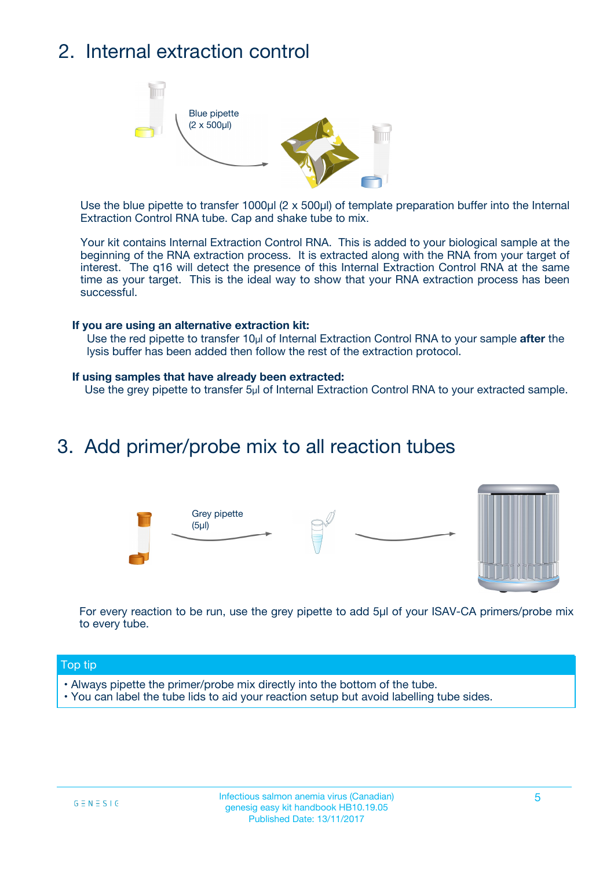## 2. Internal extraction control



Use the blue pipette to transfer 1000µl (2 x 500µl) of template preparation buffer into the Internal Extraction Control RNA tube. Cap and shake tube to mix.

Your kit contains Internal Extraction Control RNA. This is added to your biological sample at the beginning of the RNA extraction process. It is extracted along with the RNA from your target of interest. The q16 will detect the presence of this Internal Extraction Control RNA at the same time as your target. This is the ideal way to show that your RNA extraction process has been successful.

### **If you are using an alternative extraction kit:**

Use the red pipette to transfer 10µl of Internal Extraction Control RNA to your sample **after** the lysis buffer has been added then follow the rest of the extraction protocol.

#### **If using samples that have already been extracted:**

Use the grey pipette to transfer 5µl of Internal Extraction Control RNA to your extracted sample.

## 3. Add primer/probe mix to all reaction tubes





For every reaction to be run, use the grey pipette to add 5µl of your ISAV-CA primers/probe mix to every tube.

### Top tip

- Always pipette the primer/probe mix directly into the bottom of the tube.
- You can label the tube lids to aid your reaction setup but avoid labelling tube sides.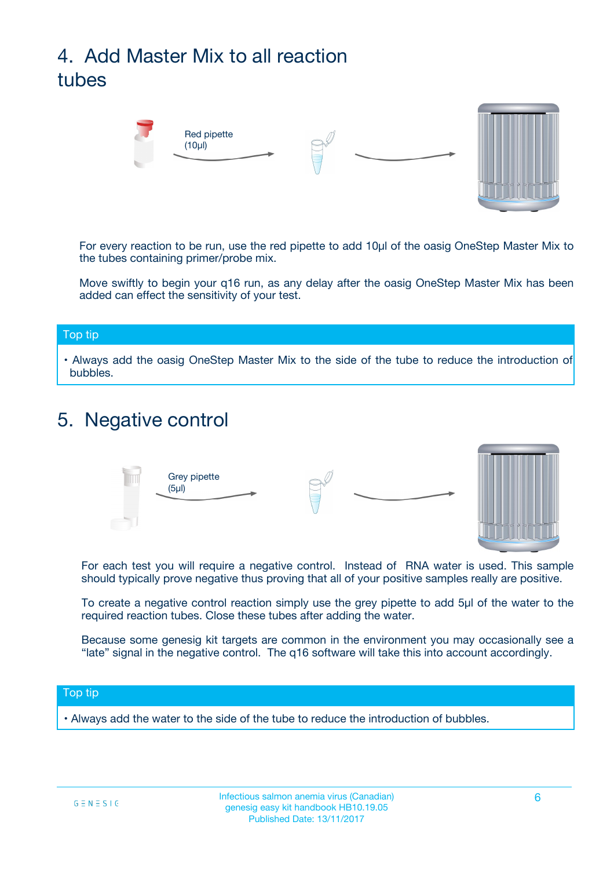## 4. Add Master Mix to all reaction tubes



For every reaction to be run, use the red pipette to add 10µl of the oasig OneStep Master Mix to the tubes containing primer/probe mix.

Move swiftly to begin your q16 run, as any delay after the oasig OneStep Master Mix has been added can effect the sensitivity of your test.

#### Top tip

**•** Always add the oasig OneStep Master Mix to the side of the tube to reduce the introduction of bubbles.

## 5. Negative control



For each test you will require a negative control. Instead of RNA water is used. This sample should typically prove negative thus proving that all of your positive samples really are positive.

To create a negative control reaction simply use the grey pipette to add 5µl of the water to the required reaction tubes. Close these tubes after adding the water.

Because some genesig kit targets are common in the environment you may occasionally see a "late" signal in the negative control. The q16 software will take this into account accordingly.

### Top tip

**•** Always add the water to the side of the tube to reduce the introduction of bubbles.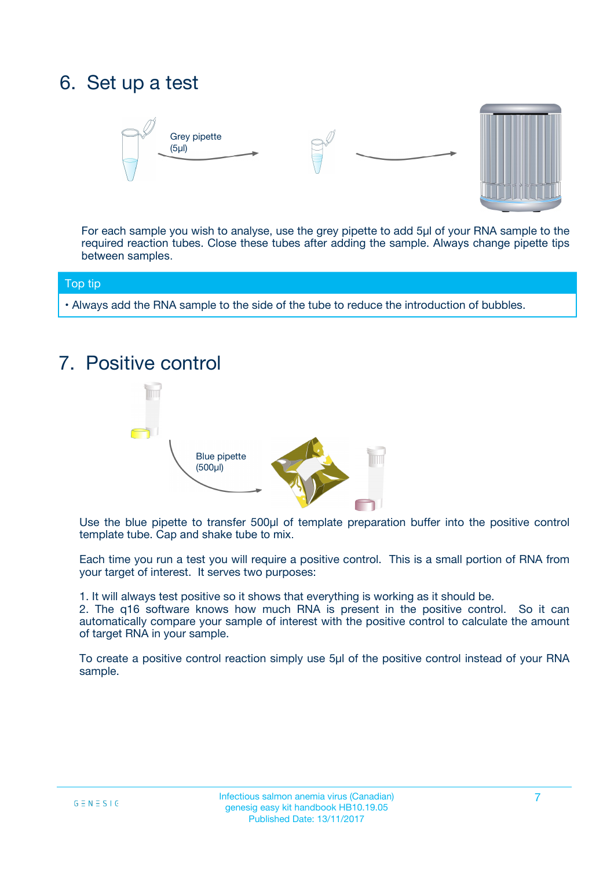## 6. Set up a test





For each sample you wish to analyse, use the grey pipette to add 5µl of your RNA sample to the required reaction tubes. Close these tubes after adding the sample. Always change pipette tips between samples.

### Top tip

**•** Always add the RNA sample to the side of the tube to reduce the introduction of bubbles.

## 7. Positive control



Use the blue pipette to transfer 500µl of template preparation buffer into the positive control template tube. Cap and shake tube to mix.

Each time you run a test you will require a positive control. This is a small portion of RNA from your target of interest. It serves two purposes:

1. It will always test positive so it shows that everything is working as it should be.

2. The q16 software knows how much RNA is present in the positive control. So it can automatically compare your sample of interest with the positive control to calculate the amount of target RNA in your sample.

To create a positive control reaction simply use 5µl of the positive control instead of your RNA sample.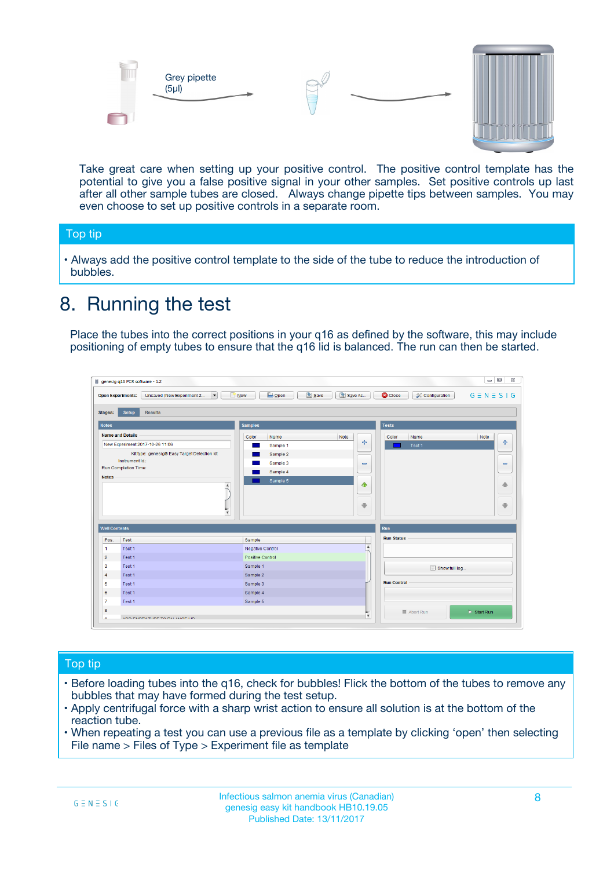



Take great care when setting up your positive control. The positive control template has the potential to give you a false positive signal in your other samples. Set positive controls up last after all other sample tubes are closed. Always change pipette tips between samples. You may even choose to set up positive controls in a separate room.

### Top tip

**•** Always add the positive control template to the side of the tube to reduce the introduction of bubbles.

## 8. Running the test

Place the tubes into the correct positions in your q16 as defined by the software, this may include positioning of empty tubes to ensure that the q16 lid is balanced. The run can then be started.

|                                                | Unsaved (New Experiment 2<br><b>Open Experiments:</b><br>$\overline{\phantom{a}}$ | <b>E</b> Open<br>Save<br>$\Box$ New | Save As          | <b>C</b> Close<br>Configuration | $G \equiv N \equiv S \mid G$ |
|------------------------------------------------|-----------------------------------------------------------------------------------|-------------------------------------|------------------|---------------------------------|------------------------------|
| <b>Stages:</b>                                 | Setup<br><b>Results</b>                                                           |                                     |                  |                                 |                              |
| <b>Notes</b>                                   |                                                                                   | <b>Samples</b>                      |                  | <b>Tests</b>                    |                              |
|                                                | <b>Name and Details</b>                                                           | Color<br>Name                       | Note             | Color<br>Name                   | Note                         |
|                                                | New Experiment 2017-10-26 11:06                                                   | Sample 1                            | 4                | Test 1                          | 4                            |
|                                                | Kit type: genesig® Easy Target Detection kit                                      | Sample 2                            |                  |                                 |                              |
|                                                | Instrument Id.:                                                                   | Sample 3                            | $\equiv$         |                                 | $\equiv$                     |
|                                                | <b>Run Completion Time:</b>                                                       | Sample 4                            |                  |                                 |                              |
| <b>Notes</b>                                   | $\blacktriangle$                                                                  | Sample 5                            | ♦                |                                 | 傦                            |
|                                                |                                                                                   |                                     |                  |                                 |                              |
|                                                | $\overline{\mathbf{v}}$                                                           |                                     | ÷                |                                 |                              |
| <b>Well Contents</b>                           |                                                                                   |                                     |                  | Run                             | ⊕                            |
|                                                | Test                                                                              | Sample                              |                  | <b>Run Status</b>               |                              |
|                                                | Test 1                                                                            | Negative Control                    | $\blacktriangle$ |                                 |                              |
| Pos.<br>$\blacktriangleleft$<br>$\overline{2}$ | Test 1                                                                            | Positive Control                    |                  |                                 |                              |
| 3                                              | Test 1                                                                            | Sample 1                            |                  |                                 |                              |
|                                                | Test 1                                                                            | Sample 2                            |                  | Show full log                   |                              |
| $\overline{4}$<br>5                            | Test 1                                                                            | Sample 3                            |                  | <b>Run Control</b>              |                              |
|                                                | Test 1                                                                            | Sample 4                            |                  |                                 |                              |
| 6<br>$\overline{7}$                            | Test 1                                                                            | Sample 5                            |                  |                                 |                              |

### Top tip

- Before loading tubes into the q16, check for bubbles! Flick the bottom of the tubes to remove any bubbles that may have formed during the test setup.
- Apply centrifugal force with a sharp wrist action to ensure all solution is at the bottom of the reaction tube.
- When repeating a test you can use a previous file as a template by clicking 'open' then selecting File name > Files of Type > Experiment file as template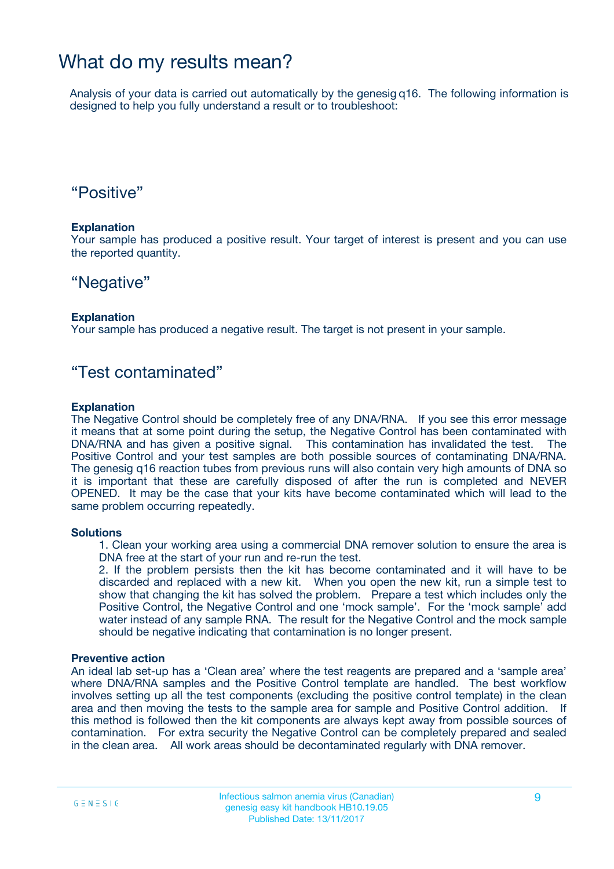## What do my results mean?

Analysis of your data is carried out automatically by the genesig q16. The following information is designed to help you fully understand a result or to troubleshoot:

## "Positive"

### **Explanation**

Your sample has produced a positive result. Your target of interest is present and you can use the reported quantity.

## "Negative"

### **Explanation**

Your sample has produced a negative result. The target is not present in your sample.

## "Test contaminated"

### **Explanation**

The Negative Control should be completely free of any DNA/RNA. If you see this error message it means that at some point during the setup, the Negative Control has been contaminated with DNA/RNA and has given a positive signal. This contamination has invalidated the test. The Positive Control and your test samples are both possible sources of contaminating DNA/RNA. The genesig q16 reaction tubes from previous runs will also contain very high amounts of DNA so it is important that these are carefully disposed of after the run is completed and NEVER OPENED. It may be the case that your kits have become contaminated which will lead to the same problem occurring repeatedly.

### **Solutions**

1. Clean your working area using a commercial DNA remover solution to ensure the area is DNA free at the start of your run and re-run the test.

2. If the problem persists then the kit has become contaminated and it will have to be discarded and replaced with a new kit. When you open the new kit, run a simple test to show that changing the kit has solved the problem. Prepare a test which includes only the Positive Control, the Negative Control and one 'mock sample'. For the 'mock sample' add water instead of any sample RNA. The result for the Negative Control and the mock sample should be negative indicating that contamination is no longer present.

### **Preventive action**

An ideal lab set-up has a 'Clean area' where the test reagents are prepared and a 'sample area' where DNA/RNA samples and the Positive Control template are handled. The best workflow involves setting up all the test components (excluding the positive control template) in the clean area and then moving the tests to the sample area for sample and Positive Control addition. If this method is followed then the kit components are always kept away from possible sources of contamination. For extra security the Negative Control can be completely prepared and sealed in the clean area. All work areas should be decontaminated regularly with DNA remover.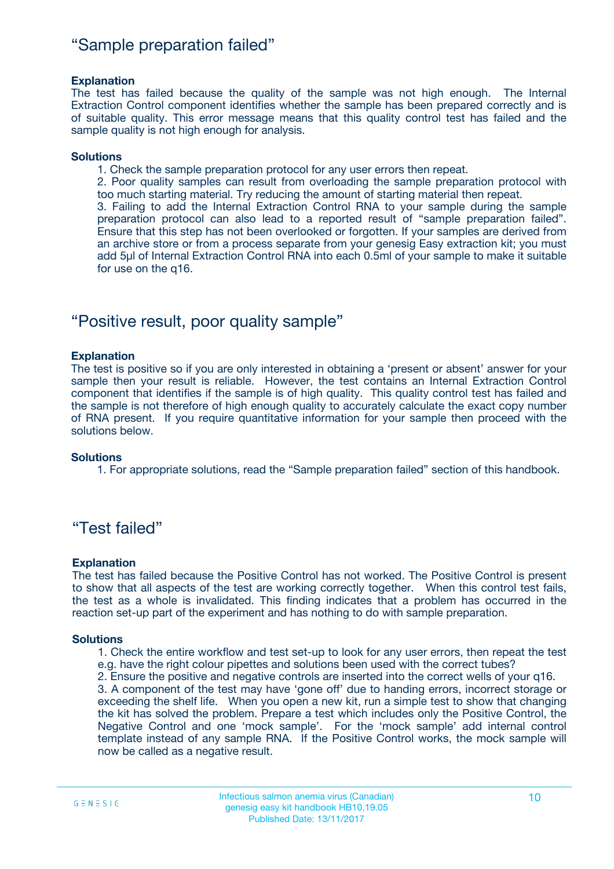## "Sample preparation failed"

### **Explanation**

The test has failed because the quality of the sample was not high enough. The Internal Extraction Control component identifies whether the sample has been prepared correctly and is of suitable quality. This error message means that this quality control test has failed and the sample quality is not high enough for analysis.

#### **Solutions**

1. Check the sample preparation protocol for any user errors then repeat.

2. Poor quality samples can result from overloading the sample preparation protocol with too much starting material. Try reducing the amount of starting material then repeat.

3. Failing to add the Internal Extraction Control RNA to your sample during the sample preparation protocol can also lead to a reported result of "sample preparation failed". Ensure that this step has not been overlooked or forgotten. If your samples are derived from an archive store or from a process separate from your genesig Easy extraction kit; you must add 5µl of Internal Extraction Control RNA into each 0.5ml of your sample to make it suitable for use on the q16.

## "Positive result, poor quality sample"

### **Explanation**

The test is positive so if you are only interested in obtaining a 'present or absent' answer for your sample then your result is reliable. However, the test contains an Internal Extraction Control component that identifies if the sample is of high quality. This quality control test has failed and the sample is not therefore of high enough quality to accurately calculate the exact copy number of RNA present. If you require quantitative information for your sample then proceed with the solutions below.

#### **Solutions**

1. For appropriate solutions, read the "Sample preparation failed" section of this handbook.

## "Test failed"

### **Explanation**

The test has failed because the Positive Control has not worked. The Positive Control is present to show that all aspects of the test are working correctly together. When this control test fails, the test as a whole is invalidated. This finding indicates that a problem has occurred in the reaction set-up part of the experiment and has nothing to do with sample preparation.

#### **Solutions**

1. Check the entire workflow and test set-up to look for any user errors, then repeat the test e.g. have the right colour pipettes and solutions been used with the correct tubes?

2. Ensure the positive and negative controls are inserted into the correct wells of your q16.

3. A component of the test may have 'gone off' due to handing errors, incorrect storage or exceeding the shelf life. When you open a new kit, run a simple test to show that changing the kit has solved the problem. Prepare a test which includes only the Positive Control, the Negative Control and one 'mock sample'. For the 'mock sample' add internal control template instead of any sample RNA. If the Positive Control works, the mock sample will now be called as a negative result.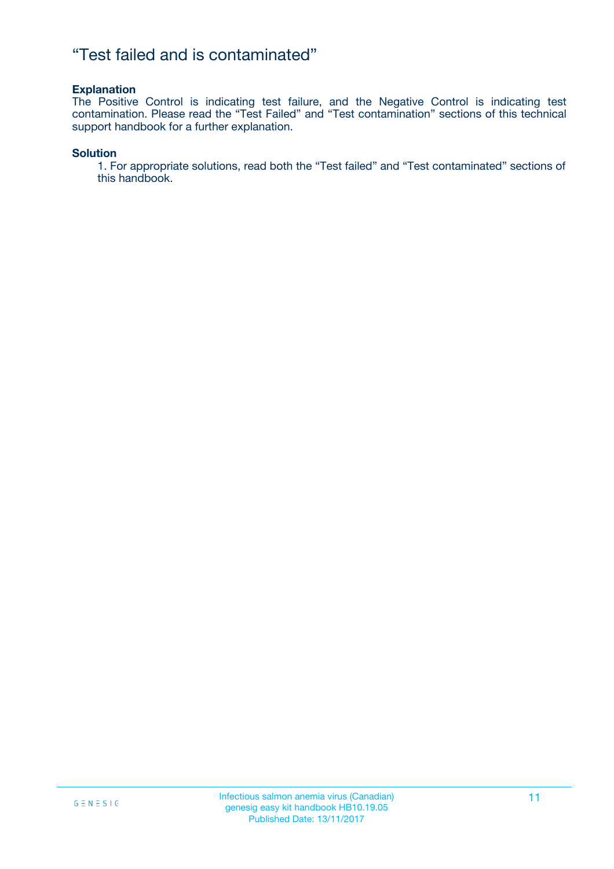## "Test failed and is contaminated"

### **Explanation**

The Positive Control is indicating test failure, and the Negative Control is indicating test contamination. Please read the "Test Failed" and "Test contamination" sections of this technical support handbook for a further explanation.

### **Solution**

1. For appropriate solutions, read both the "Test failed" and "Test contaminated" sections of this handbook.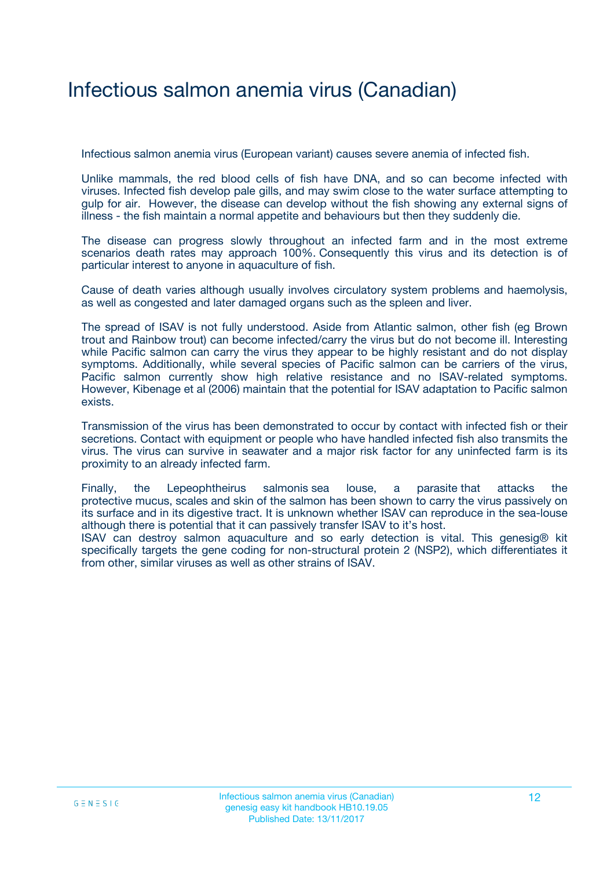## Infectious salmon anemia virus (Canadian)

Infectious salmon anemia virus (European variant) causes severe anemia of infected fish.

Unlike mammals, the red blood cells of fish have DNA, and so can become infected with viruses. Infected fish develop pale gills, and may swim close to the water surface attempting to gulp for air. However, the disease can develop without the fish showing any external signs of illness - the fish maintain a normal appetite and behaviours but then they suddenly die.

The disease can progress slowly throughout an infected farm and in the most extreme scenarios death rates may approach 100%. Consequently this virus and its detection is of particular interest to anyone in aquaculture of fish.

Cause of death varies although usually involves circulatory system problems and haemolysis, as well as congested and later damaged organs such as the spleen and liver.

The spread of ISAV is not fully understood. Aside from Atlantic salmon, other fish (eg Brown trout and Rainbow trout) can become infected/carry the virus but do not become ill. Interesting while Pacific salmon can carry the virus they appear to be highly resistant and do not display symptoms. Additionally, while several species of Pacific salmon can be carriers of the virus, Pacific salmon currently show high relative resistance and no ISAV-related symptoms. However, Kibenage et al (2006) maintain that the potential for ISAV adaptation to Pacific salmon exists.

Transmission of the virus has been demonstrated to occur by contact with infected fish or their secretions. Contact with equipment or people who have handled infected fish also transmits the virus. The virus can survive in seawater and a major risk factor for any uninfected farm is its proximity to an already infected farm.

Finally, the Lepeophtheirus salmonis sea louse, a parasite that attacks the protective mucus, scales and skin of the salmon has been shown to carry the virus passively on its surface and in its digestive tract. It is unknown whether ISAV can reproduce in the sea-louse although there is potential that it can passively transfer ISAV to it's host.

ISAV can destroy salmon aquaculture and so early detection is vital. This genesig® kit specifically targets the gene coding for non-structural protein 2 (NSP2), which differentiates it from other, similar viruses as well as other strains of ISAV.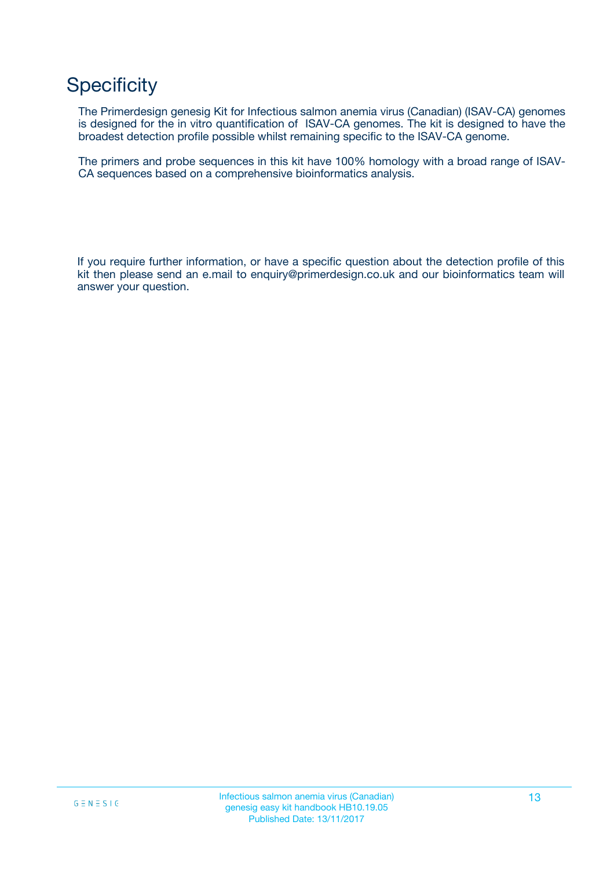## **Specificity**

The Primerdesign genesig Kit for Infectious salmon anemia virus (Canadian) (ISAV-CA) genomes is designed for the in vitro quantification of ISAV-CA genomes. The kit is designed to have the broadest detection profile possible whilst remaining specific to the ISAV-CA genome.

The primers and probe sequences in this kit have 100% homology with a broad range of ISAV-CA sequences based on a comprehensive bioinformatics analysis.

If you require further information, or have a specific question about the detection profile of this kit then please send an e.mail to enquiry@primerdesign.co.uk and our bioinformatics team will answer your question.